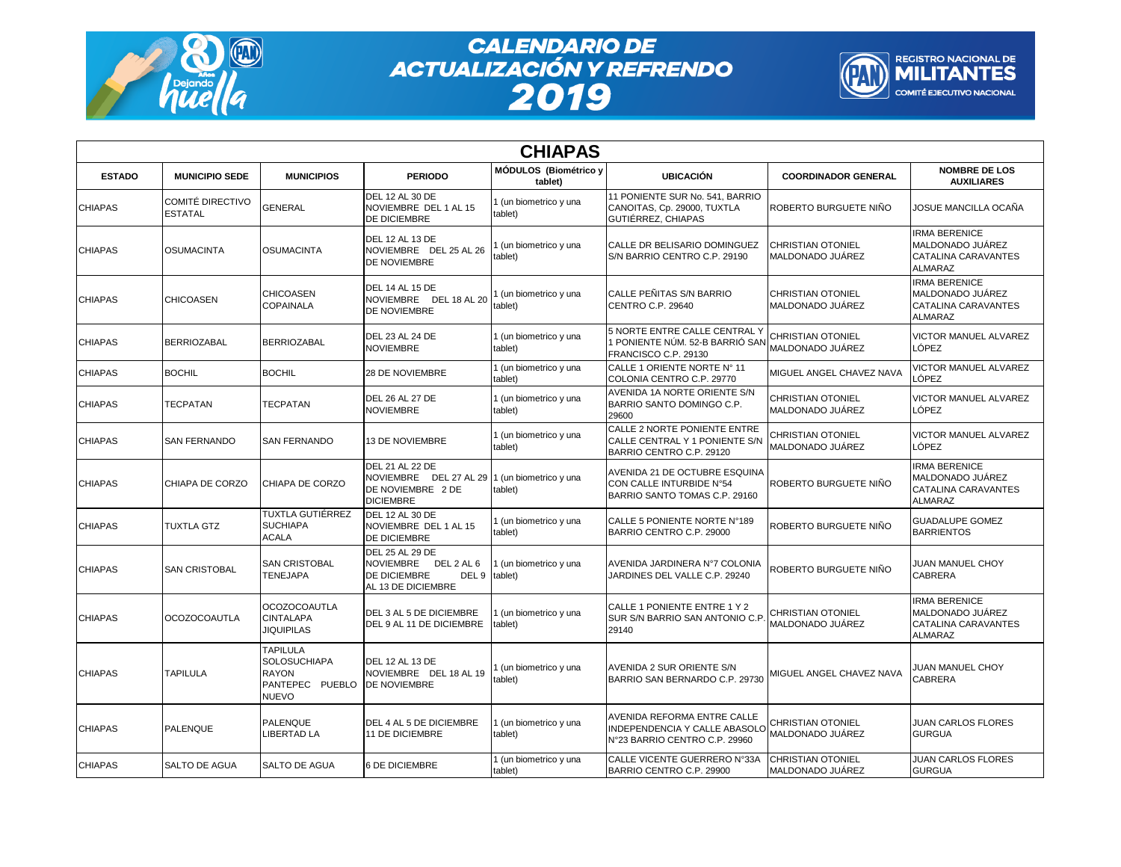

## **CALENDARIO DE<br>ACTUALIZACIÓN Y REFRENDO<br>2019**



| <b>CHIAPAS</b> |                                    |                                                                                    |                                                                                                                 |                                   |                                                                                                             |                                              |                                                                                   |  |
|----------------|------------------------------------|------------------------------------------------------------------------------------|-----------------------------------------------------------------------------------------------------------------|-----------------------------------|-------------------------------------------------------------------------------------------------------------|----------------------------------------------|-----------------------------------------------------------------------------------|--|
| <b>ESTADO</b>  | <b>MUNICIPIO SEDE</b>              | <b>MUNICIPIOS</b>                                                                  | <b>PERIODO</b>                                                                                                  | MÓDULOS (Biométrico y<br>tablet)  | <b>UBICACIÓN</b>                                                                                            | <b>COORDINADOR GENERAL</b>                   | <b>NOMBRE DE LOS</b><br><b>AUXILIARES</b>                                         |  |
| <b>CHIAPAS</b> | COMITÉ DIRECTIVO<br><b>ESTATAL</b> | <b>GENERAL</b>                                                                     | DEL 12 AL 30 DE<br>NOVIEMBRE DEL 1 AL 15<br>DE DICIEMBRE                                                        | I (un biometrico y una<br>tablet) | 11 PONIENTE SUR No. 541, BARRIO<br>CANOITAS, Cp. 29000, TUXTLA<br>GUTIÉRREZ, CHIAPAS                        | ROBERTO BURGUETE NIÑO                        | JOSUE MANCILLA OCAÑA                                                              |  |
| <b>CHIAPAS</b> | OSUMACINTA                         | <b>OSUMACINTA</b>                                                                  | <b>DEL 12 AL 13 DE</b><br>NOVIEMBRE DEL 25 AL 26<br>DE NOVIEMBRE                                                | 1 (un biometrico y una<br>tablet) | CALLE DR BELISARIO DOMINGUEZ<br>S/N BARRIO CENTRO C.P. 29190                                                | <b>CHRISTIAN OTONIEL</b><br>MALDONADO JUÁREZ | <b>IRMA BERENICE</b><br>MALDONADO JUÁREZ<br>CATALINA CARAVANTES<br><b>ALMARAZ</b> |  |
| <b>CHIAPAS</b> | <b>CHICOASEN</b>                   | <b>CHICOASEN</b><br><b>COPAINALA</b>                                               | <b>DEL 14 AL 15 DE</b><br>NOVIEMBRE DEL 18 AL 20<br>DE NOVIEMBRE                                                | 1 (un biometrico y una<br>tablet) | CALLE PEÑITAS S/N BARRIO<br>CENTRO C.P. 29640                                                               | <b>CHRISTIAN OTONIEL</b><br>MALDONADO JUÁREZ | <b>IRMA BERENICE</b><br>MALDONADO JUÁREZ<br><b>CATALINA CARAVANTES</b><br>ALMARAZ |  |
| <b>CHIAPAS</b> | BERRIOZABAL                        | <b>BERRIOZABAL</b>                                                                 | DEL 23 AL 24 DE<br><b>NOVIEMBRE</b>                                                                             | 1 (un biometrico y una<br>tablet) | 5 NORTE ENTRE CALLE CENTRAL Y<br>1 PONIENTE NÚM. 52-B BARRIÓ SAN<br>FRANCISCO C.P. 29130                    | <b>CHRISTIAN OTONIEL</b><br>MALDONADO JUÁREZ | VICTOR MANUEL ALVAREZ<br>LÓPEZ                                                    |  |
| <b>CHIAPAS</b> | <b>BOCHIL</b>                      | <b>BOCHIL</b>                                                                      | 28 DE NOVIEMBRE                                                                                                 | 1 (un biometrico y una<br>tablet) | CALLE 1 ORIENTE NORTE Nº 11<br>COLONIA CENTRO C.P. 29770                                                    | MIGUEL ANGEL CHAVEZ NAVA                     | VICTOR MANUEL ALVAREZ<br>LÓPEZ                                                    |  |
| <b>CHIAPAS</b> | TECPATAN                           | TECPATAN                                                                           | <b>DEL 26 AL 27 DE</b><br><b>NOVIEMBRE</b>                                                                      | 1 (un biometrico y una<br>tablet) | <b>AVENIDA 1A NORTE ORIENTE S/N</b><br>BARRIO SANTO DOMINGO C.P.<br>29600                                   | <b>CHRISTIAN OTONIEL</b><br>MALDONADO JUÁREZ | VICTOR MANUEL ALVAREZ<br>LÓPEZ                                                    |  |
| <b>CHIAPAS</b> | <b>SAN FERNANDO</b>                | <b>SAN FERNANDO</b>                                                                | <b>13 DE NOVIEMBRE</b>                                                                                          | 1 (un biometrico y una<br>tablet) | CALLE 2 NORTE PONIENTE ENTRE<br>CALLE CENTRAL Y 1 PONIENTE S/N<br>BARRIO CENTRO C.P. 29120                  | <b>CHRISTIAN OTONIEL</b><br>MALDONADO JUÁREZ | VICTOR MANUEL ALVAREZ<br>LÓPEZ                                                    |  |
| <b>CHIAPAS</b> | CHIAPA DE CORZO                    | CHIAPA DE CORZO                                                                    | DEL 21 AL 22 DE<br>NOVIEMBRE DEL 27 AL 29 1 (un biometrico y una<br>DE NOVIEMBRE 2 DE<br><b>DICIEMBRE</b>       | tablet)                           | AVENIDA 21 DE OCTUBRE ESQUINA<br>CON CALLE INTURBIDE N°54<br>BARRIO SANTO TOMAS C.P. 29160                  | ROBERTO BURGUETE NIÑO                        | <b>IRMA BERENICE</b><br>MALDONADO JUÁREZ<br>CATALINA CARAVANTES<br><b>ALMARAZ</b> |  |
| <b>CHIAPAS</b> | TUXTLA GTZ                         | TUXTLA GUTIÉRREZ<br><b>SUCHIAPA</b><br><b>ACALA</b>                                | <b>DEL 12 AL 30 DE</b><br>NOVIEMBRE DEL 1 AL 15<br>DE DICIEMBRE                                                 | 1 (un biometrico y una<br>tablet) | CALLE 5 PONIENTE NORTE N°189<br>BARRIO CENTRO C.P. 29000                                                    | ROBERTO BURGUETE NIÑO                        | <b>GUADALUPE GOMEZ</b><br><b>BARRIENTOS</b>                                       |  |
| <b>CHIAPAS</b> | <b>SAN CRISTOBAL</b>               | <b>SAN CRISTOBAL</b><br>TENEJAPA                                                   | <b>DEL 25 AL 29 DE</b><br><b>NOVIEMBRE</b><br>DEL 2 AL 6<br>DE DICIEMBRE<br>DEL 9 tablet)<br>AL 13 DE DICIEMBRE | (un biometrico y una              | AVENIDA JARDINERA N°7 COLONIA<br>JARDINES DEL VALLE C.P. 29240                                              | ROBERTO BURGUETE NIÑO                        | JUAN MANUEL CHOY<br><b>CABRERA</b>                                                |  |
| <b>CHIAPAS</b> | OCOZOCOAUTLA                       | <b>OCOZOCOAUTLA</b><br><b>CINTALAPA</b><br>JIQUIPILAS                              | DEL 3 AL 5 DE DICIEMBRE<br>DEL 9 AL 11 DE DICIEMBRE                                                             | I (un biometrico y una<br>tablet) | CALLE 1 PONIENTE ENTRE 1 Y 2<br><b>SUR S/N BARRIO SAN ANTONIO C.P.</b><br>29140                             | <b>CHRISTIAN OTONIEL</b><br>MALDONADO JUÁREZ | <b>IRMA BERENICE</b><br>MALDONADO JUÁREZ<br>CATALINA CARAVANTES<br><b>ALMARAZ</b> |  |
| <b>CHIAPAS</b> | <b>TAPILULA</b>                    | TAPILULA<br><b>SOLOSUCHIAPA</b><br><b>RAYON</b><br>PANTEPEC PUEBLO<br><b>NUEVO</b> | DEL 12 AL 13 DE<br>NOVIEMBRE DEL 18 AL 19<br>DE NOVIEMBRE                                                       | (un biometrico y una<br>tablet)   | <b>AVENIDA 2 SUR ORIENTE S/N</b><br>BARRIO SAN BERNARDO C.P. 29730                                          | MIGUEL ANGEL CHAVEZ NAVA                     | JUAN MANUEL CHOY<br>CABRERA                                                       |  |
| <b>CHIAPAS</b> | <b>PALENQUE</b>                    | <b>PALENQUE</b><br><b>IBERTAD LA</b>                                               | DEL 4 AL 5 DE DICIEMBRE<br><b>11 DE DICIEMBRE</b>                                                               | 1 (un biometrico y una<br>tablet) | <b>AVENIDA REFORMA ENTRE CALLE</b><br><b>INDEPENDENCIA Y CALLE ABASOLO</b><br>N°23 BARRIO CENTRO C.P. 29960 | CHRISTIAN OTONIEL<br>MALDONADO JUÁREZ        | JUAN CARLOS FLORES<br><b>GURGUA</b>                                               |  |
| <b>CHIAPAS</b> | SALTO DE AGUA                      | SALTO DE AGUA                                                                      | 6 DE DICIEMBRE                                                                                                  | 1 (un biometrico y una<br>tablet) | CALLE VICENTE GUERRERO N°33A<br>BARRIO CENTRO C.P. 29900                                                    | <b>CHRISTIAN OTONIEL</b><br>MALDONADO JUÁREZ | JUAN CARLOS FLORES<br><b>GURGUA</b>                                               |  |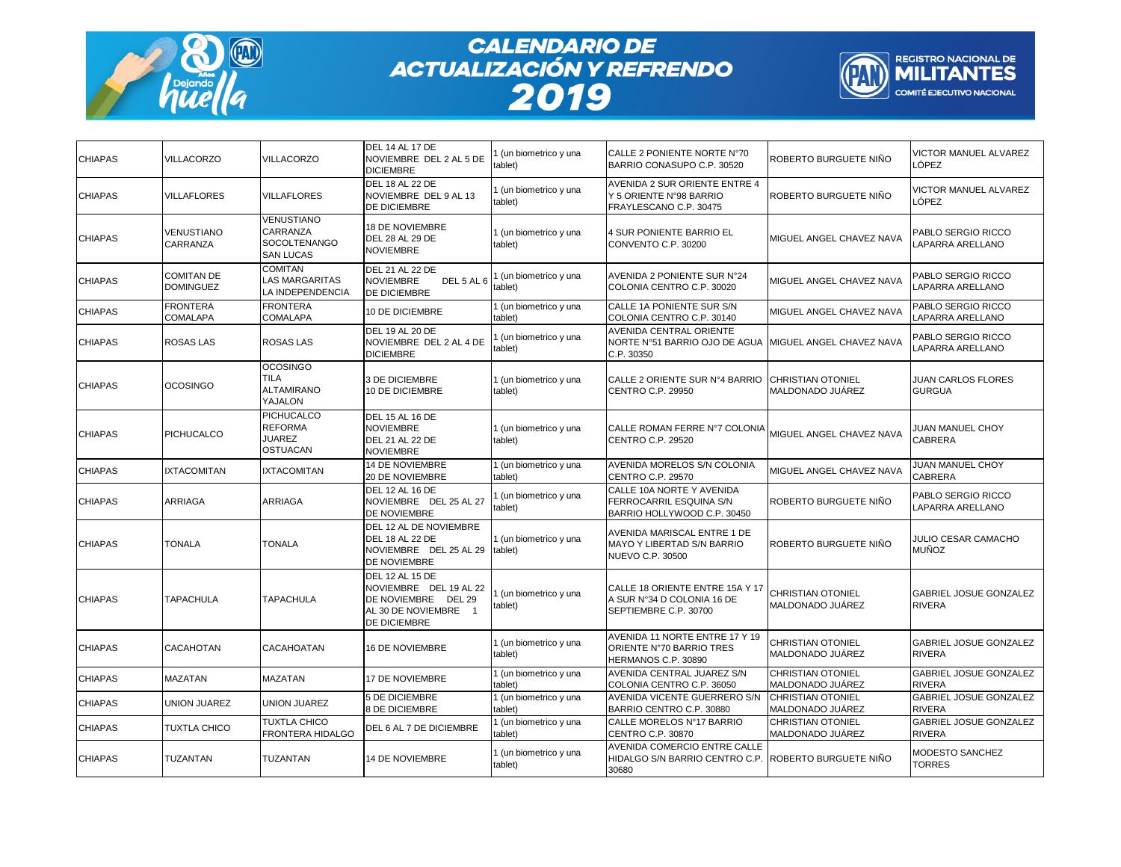

## **CALENDARIO DE<br>ACTUALIZACIÓN Y REFRENDO<br>2019**



| <b>CHIAPAS</b> | <b>VILLACORZO</b>                     | <b>VILLACORZO</b>                                                        | DEL 14 AL 17 DE<br>NOVIEMBRE DEL 2 AL 5 DE<br><b>DICIEMBRE</b>                                                         | 1 (un biometrico y una<br>ablet)  | CALLE 2 PONIENTE NORTE N°70<br>BARRIO CONASUPO C.P. 30520                                       | ROBERTO BURGUETE NIÑO                        | VICTOR MANUEL ALVAREZ<br>LÓPEZ                 |
|----------------|---------------------------------------|--------------------------------------------------------------------------|------------------------------------------------------------------------------------------------------------------------|-----------------------------------|-------------------------------------------------------------------------------------------------|----------------------------------------------|------------------------------------------------|
| <b>CHIAPAS</b> | <b>VILLAFLORES</b>                    | <b>VILLAFLORES</b>                                                       | <b>DEL 18 AL 22 DE</b><br>NOVIEMBRE DEL 9 AL 13<br>DE DICIEMBRE                                                        | I (un biometrico y una<br>tablet) | AVENIDA 2 SUR ORIENTE ENTRE 4<br>Y 5 ORIENTE N°98 BARRIO<br>FRAYLESCANO C.P. 30475              | ROBERTO BURGUETE NIÑO                        | VICTOR MANUEL ALVAREZ<br>LÓPEZ                 |
| <b>CHIAPAS</b> | <b>VENUSTIANO</b><br><b>CARRANZA</b>  | <b>VENUSTIANO</b><br>CARRANZA<br><b>SOCOLTENANGO</b><br><b>SAN LUCAS</b> | 18 DE NOVIEMBRE<br>DEL 28 AL 29 DE<br><b>NOVIEMBRE</b>                                                                 | 1 (un biometrico y una<br>tablet) | 4 SUR PONIENTE BARRIO EL<br>CONVENTO C.P. 30200                                                 | MIGUEL ANGEL CHAVEZ NAVA                     | PABLO SERGIO RICCO<br>LAPARRA ARELLANO         |
| <b>CHIAPAS</b> | <b>COMITAN DE</b><br><b>DOMINGUEZ</b> | <b>COMITAN</b><br><b>LAS MARGARITAS</b><br>LA INDEPENDENCIA              | DEL 21 AL 22 DE<br><b>NOVIEMBRE</b><br>DEL 5 AL 6<br><b>DE DICIEMBRE</b>                                               | 1 (un biometrico y una<br>ablet)  | AVENIDA 2 PONIENTE SUR N°24<br>COLONIA CENTRO C.P. 30020                                        | MIGUEL ANGEL CHAVEZ NAVA                     | PABLO SERGIO RICCO<br>LAPARRA ARELLANO         |
| <b>CHIAPAS</b> | <b>FRONTERA</b><br><b>COMALAPA</b>    | <b>FRONTERA</b><br><b>COMALAPA</b>                                       | <b>10 DE DICIEMBRE</b>                                                                                                 | I (un biometrico y una<br>tablet) | CALLE 1A PONIENTE SUR S/N<br>COLONIA CENTRO C.P. 30140                                          | MIGUEL ANGEL CHAVEZ NAVA                     | PABLO SERGIO RICCO<br>LAPARRA ARELLANO         |
| <b>CHIAPAS</b> | <b>ROSAS LAS</b>                      | <b>ROSAS LAS</b>                                                         | <b>DEL 19 AL 20 DE</b><br>NOVIEMBRE DEL 2 AL 4 DE<br><b>DICIEMBRE</b>                                                  | 1 (un biometrico y una<br>ablet)  | AVENIDA CENTRAL ORIENTE<br>NORTE N°51 BARRIO OJO DE AGUA MIGUEL ANGEL CHAVEZ NAVA<br>C.P. 30350 |                                              | PABLO SERGIO RICCO<br>LAPARRA ARELLANO         |
| <b>CHIAPAS</b> | <b>OCOSINGO</b>                       | <b>OCOSINGO</b><br><b>TILA</b><br><b>ALTAMIRANO</b><br>YAJALON           | 3 DE DICIEMBRE<br><b>10 DE DICIEMBRE</b>                                                                               | 1 (un biometrico y una<br>tablet) | CALLE 2 ORIENTE SUR Nº4 BARRIO CHRISTIAN OTONIEL<br><b>CENTRO C.P. 29950</b>                    | MALDONADO JUÁREZ                             | JUAN CARLOS FLORES<br><b>GURGUA</b>            |
| <b>CHIAPAS</b> | <b>PICHUCALCO</b>                     | <b>PICHUCALCO</b><br><b>REFORMA</b><br><b>JUAREZ</b><br><b>OSTUACAN</b>  | <b>DEL 15 AL 16 DE</b><br><b>NOVIEMBRE</b><br>DEL 21 AL 22 DE<br><b>NOVIEMBRE</b>                                      | 1 (un biometrico y una<br>tablet) | CALLE ROMAN FERRE N°7 COLONIA<br>CENTRO C.P. 29520                                              | MIGUEL ANGEL CHAVEZ NAVA                     | JUAN MANUEL CHOY<br><b>CABRERA</b>             |
| <b>CHIAPAS</b> | <b>IXTACOMITAN</b>                    | <b>IXTACOMITAN</b>                                                       | <b>14 DE NOVIEMBRE</b><br>20 DE NOVIEMBRE                                                                              | 1 (un biometrico y una<br>tablet) | <b>AVENIDA MORELOS S/N COLONIA</b><br><b>CENTRO C.P. 29570</b>                                  | MIGUEL ANGEL CHAVEZ NAVA                     | JUAN MANUEL CHOY<br><b>CABRERA</b>             |
| <b>CHIAPAS</b> | ARRIAGA                               | ARRIAGA                                                                  | DEL 12 AL 16 DE<br>NOVIEMBRE DEL 25 AL 27<br>DE NOVIEMBRE                                                              | I (un biometrico y una<br>tablet) | CALLE 10A NORTE Y AVENIDA<br>FERROCARRIL ESQUINA S/N<br>BARRIO HOLLYWOOD C.P. 30450             | ROBERTO BURGUETE NIÑO                        | PABLO SERGIO RICCO<br>LAPARRA ARELLANO         |
| <b>CHIAPAS</b> | TONALA                                | TONALA                                                                   | DEL 12 AL DE NOVIEMBRE<br><b>DEL 18 AL 22 DE</b><br>NOVIEMBRE DEL 25 AL 29<br>DE NOVIEMBRE                             | 1 (un biometrico y una<br>tablet) | AVENIDA MARISCAL ENTRE 1 DE<br>MAYO Y LIBERTAD S/N BARRIO<br><b>NUEVO C.P. 30500</b>            | ROBERTO BURGUETE NIÑO                        | JULIO CESAR CAMACHO<br><b>MUÑOZ</b>            |
| <b>CHIAPAS</b> | TAPACHULA                             | <b>TAPACHULA</b>                                                         | <b>DEL 12 AL 15 DE</b><br>NOVIEMBRE DEL 19 AL 22<br>DE NOVIEMBRE DEL 29<br>AL 30 DE NOVIEMBRE 1<br><b>DE DICIEMBRE</b> | 1 (un biometrico y una<br>tablet) | CALLE 18 ORIENTE ENTRE 15A Y 17<br>A SUR N°34 D COLONIA 16 DE<br>SEPTIEMBRE C.P. 30700          | CHRISTIAN OTONIEL<br>MALDONADO JUÁREZ        | <b>GABRIEL JOSUE GONZALEZ</b><br><b>RIVERA</b> |
| <b>CHIAPAS</b> | CACAHOTAN                             | CACAHOATAN                                                               | 16 DE NOVIEMBRE                                                                                                        | 1 (un biometrico y una<br>tablet) | AVENIDA 11 NORTE ENTRE 17 Y 19<br>ORIENTE N°70 BARRIO TRES<br>HERMANOS C.P. 30890               | <b>CHRISTIAN OTONIEL</b><br>MALDONADO JUÁREZ | GABRIEL JOSUE GONZALEZ<br>RIVERA               |
| <b>CHIAPAS</b> | MAZATAN                               | <b>MAZATAN</b>                                                           | 17 DE NOVIEMBRE                                                                                                        | 1 (un biometrico y una<br>tablet) | <b>AVENIDA CENTRAL JUAREZ S/N</b><br>COLONIA CENTRO C.P. 36050                                  | <b>CHRISTIAN OTONIEL</b><br>MALDONADO JUÁREZ | GABRIEL JOSUE GONZALEZ<br><b>RIVERA</b>        |
| <b>CHIAPAS</b> | UNION JUAREZ                          | <b>UNION JUAREZ</b>                                                      | 5 DE DICIEMBRE<br>8 DE DICIEMBRE                                                                                       | 1 (un biometrico y una<br>tablet) | AVENIDA VICENTE GUERRERO S/N<br>BARRIO CENTRO C.P. 30880                                        | <b>CHRISTIAN OTONIEL</b><br>MALDONADO JUÁREZ | GABRIEL JOSUE GONZALEZ<br>RIVERA               |
| <b>CHIAPAS</b> | TUXTLA CHICO                          | TUXTLA CHICO<br><b>FRONTERA HIDALGO</b>                                  | DEL 6 AL 7 DE DICIEMBRE                                                                                                | 1 (un biometrico y una<br>tablet) | CALLE MORELOS N°17 BARRIO<br>CENTRO C.P. 30870                                                  | <b>CHRISTIAN OTONIEL</b><br>MALDONADO JUÁREZ | GABRIEL JOSUE GONZALEZ<br><b>RIVERA</b>        |
| <b>CHIAPAS</b> | TUZANTAN                              | TUZANTAN                                                                 | 14 DE NOVIEMBRE                                                                                                        | 1 (un biometrico y una<br>tablet) | AVENIDA COMERCIO ENTRE CALLE<br>HIDALGO S/N BARRIO CENTRO C.P. ROBERTO BURGUETE NIÑO<br>30680   |                                              | MODESTO SANCHEZ<br><b>TORRES</b>               |